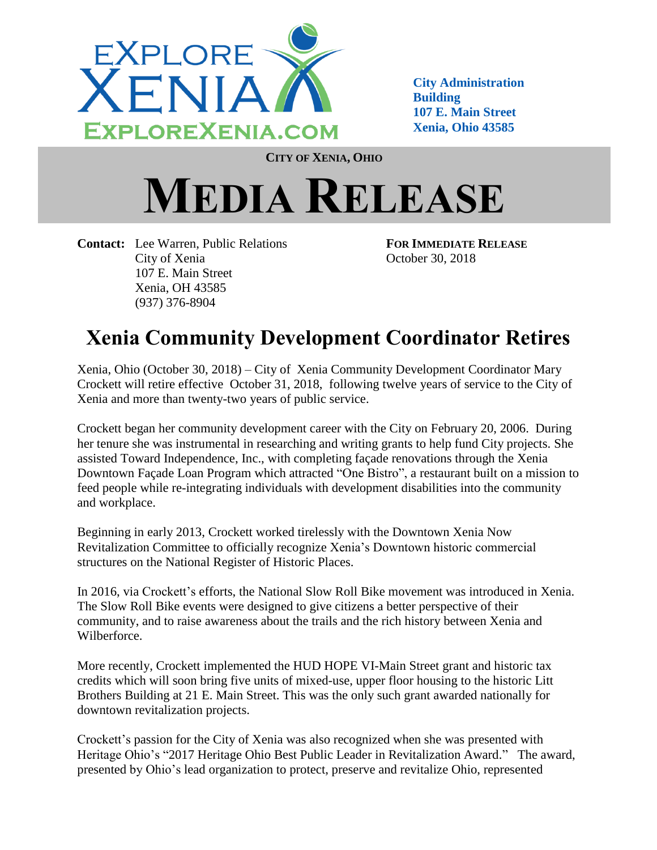

**City Administration Building 107 E. Main Street Xenia, Ohio 43585**

**CITY OF XENIA, OHIO**

## **MEDIA RELEASE**

**Contact:** Lee Warren, Public Relations **FOR IMMEDIATE RELEASE** City of Xenia October 30, 2018 107 E. Main Street Xenia, OH 43585 (937) 376-8904

## **Xenia Community Development Coordinator Retires**

Xenia, Ohio (October 30, 2018) – City of Xenia Community Development Coordinator Mary Crockett will retire effective October 31, 2018, following twelve years of service to the City of Xenia and more than twenty-two years of public service.

Crockett began her community development career with the City on February 20, 2006. During her tenure she was instrumental in researching and writing grants to help fund City projects. She assisted Toward Independence, Inc., with completing façade renovations through the Xenia Downtown Façade Loan Program which attracted "One Bistro", a restaurant built on a mission to feed people while re-integrating individuals with development disabilities into the community and workplace.

Beginning in early 2013, Crockett worked tirelessly with the Downtown Xenia Now Revitalization Committee to officially recognize Xenia's Downtown historic commercial structures on the National Register of Historic Places.

In 2016, via Crockett's efforts, the National Slow Roll Bike movement was introduced in Xenia. The Slow Roll Bike events were designed to give citizens a better perspective of their community, and to raise awareness about the trails and the rich history between Xenia and Wilberforce.

More recently, Crockett implemented the HUD HOPE VI-Main Street grant and historic tax credits which will soon bring five units of mixed-use, upper floor housing to the historic Litt Brothers Building at 21 E. Main Street. This was the only such grant awarded nationally for downtown revitalization projects.

Crockett's passion for the City of Xenia was also recognized when she was presented with Heritage Ohio's "2017 Heritage Ohio Best Public Leader in Revitalization Award." The award, presented by Ohio's lead organization to protect, preserve and revitalize Ohio, represented